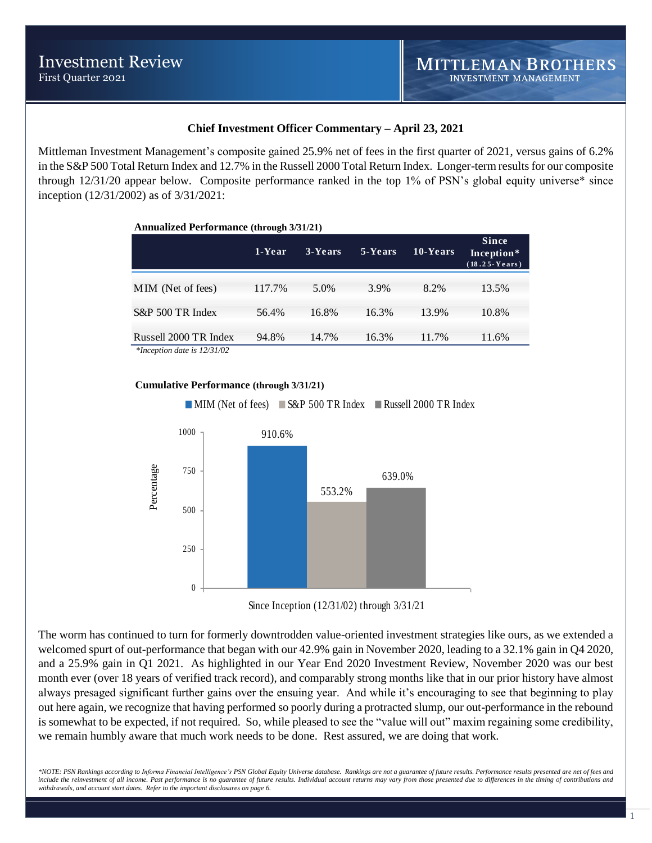## **Chief Investment Officer Commentary – April 23, 2021**

Mittleman Investment Management's composite gained 25.9% net of fees in the first quarter of 2021, versus gains of 6.2% in the S&P 500 Total Return Index and 12.7% in the Russell 2000 Total Return Index. Longer-term results for our composite through 12/31/20 appear below. Composite performance ranked in the top 1% of PSN's global equity universe\* since inception (12/31/2002) as of 3/31/2021:

| <b>Annualized Performance (through 3/31/21)</b> |        |         |         |          |                                                     |  |  |  |  |  |
|-------------------------------------------------|--------|---------|---------|----------|-----------------------------------------------------|--|--|--|--|--|
|                                                 | 1-Year | 3-Years | 5-Years | 10-Years | <b>Since</b><br>Inception*<br>$(18.25 \cdot Years)$ |  |  |  |  |  |
| MIM (Net of fees)                               | 117.7% | 5.0%    | 3.9%    | 8.2%     | 13.5%                                               |  |  |  |  |  |
| S&P 500 TR Index                                | 56.4%  | 16.8%   | 16.3%   | 13.9%    | 10.8%                                               |  |  |  |  |  |
| Russell 2000 TR Index<br>$+1$ $+1$ $+12$ $-102$ | 94.8%  | 14.7%   | 16.3%   | 11.7%    | 11.6%                                               |  |  |  |  |  |

*\*Inception date is 12/31/02*

### **Cumulative Performance (through 3/31/21)**

**MIM (Net of fees)** S&P 500 TR Index Russell 2000 TR Index



Since Inception (12/31/02) through 3/31/21

The worm has continued to turn for formerly downtrodden value-oriented investment strategies like ours, as we extended a welcomed spurt of out-performance that began with our 42.9% gain in November 2020, leading to a 32.1% gain in Q4 2020, and a 25.9% gain in Q1 2021. As highlighted in our Year End 2020 Investment Review, November 2020 was our best month ever (over 18 years of verified track record), and comparably strong months like that in our prior history have almost always presaged significant further gains over the ensuing year. And while it's encouraging to see that beginning to play out here again, we recognize that having performed so poorly during a protracted slump, our out-performance in the rebound is somewhat to be expected, if not required. So, while pleased to see the "value will out" maxim regaining some credibility, we remain humbly aware that much work needs to be done. Rest assured, we are doing that work.

*\*NOTE: PSN Rankings according to Informa Financial Intelligence's PSN Global Equity Universe database. Rankings are not a guarantee of future results. Performance results presented are net of fees and*  include the reinvestment of all income. Past performance is no guarantee of future results. Individual account returns may vary from those presented due to differences in the timing of contributions and *withdrawals, and account start dates. Refer to the important disclosures on page 6.*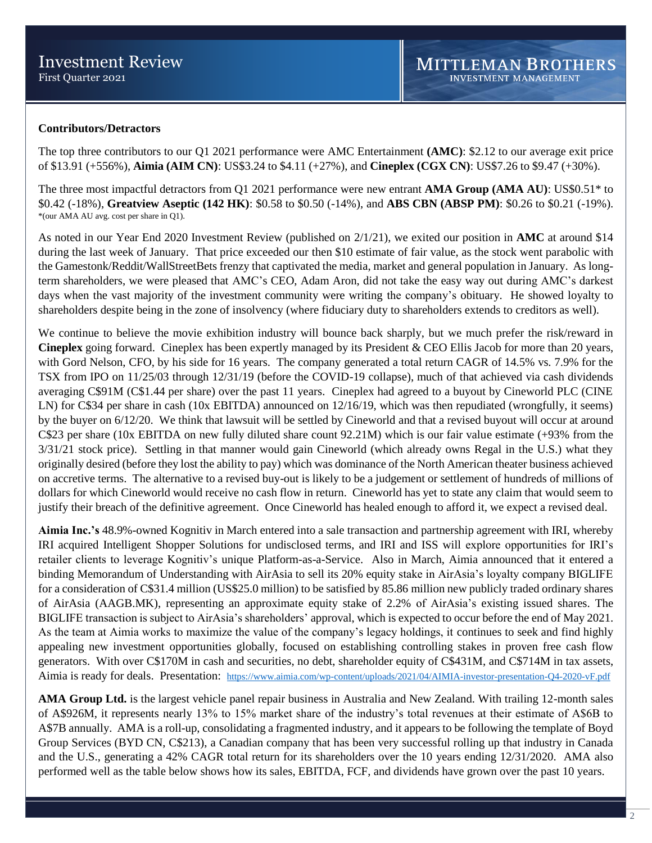## **Contributors/Detractors**

The top three contributors to our Q1 2021 performance were AMC Entertainment **(AMC)**: \$2.12 to our average exit price of \$13.91 (+556%), **Aimia (AIM CN)**: US\$3.24 to \$4.11 (+27%), and **Cineplex (CGX CN)**: US\$7.26 to \$9.47 (+30%).

The three most impactful detractors from Q1 2021 performance were new entrant **AMA Group (AMA AU)**: US\$0.51\* to \$0.42 (-18%), **Greatview Aseptic (142 HK)**: \$0.58 to \$0.50 (-14%), and **ABS CBN (ABSP PM)**: \$0.26 to \$0.21 (-19%). \*(our AMA AU avg. cost per share in Q1).

As noted in our Year End 2020 Investment Review (published on 2/1/21), we exited our position in **AMC** at around \$14 during the last week of January. That price exceeded our then \$10 estimate of fair value, as the stock went parabolic with the Gamestonk/Reddit/WallStreetBets frenzy that captivated the media, market and general population in January. As longterm shareholders, we were pleased that AMC's CEO, Adam Aron, did not take the easy way out during AMC's darkest days when the vast majority of the investment community were writing the company's obituary. He showed loyalty to shareholders despite being in the zone of insolvency (where fiduciary duty to shareholders extends to creditors as well).

We continue to believe the movie exhibition industry will bounce back sharply, but we much prefer the risk/reward in **Cineplex** going forward. Cineplex has been expertly managed by its President & CEO Ellis Jacob for more than 20 years, with Gord Nelson, CFO, by his side for 16 years. The company generated a total return CAGR of 14.5% vs. 7.9% for the TSX from IPO on 11/25/03 through 12/31/19 (before the COVID-19 collapse), much of that achieved via cash dividends averaging C\$91M (C\$1.44 per share) over the past 11 years. Cineplex had agreed to a buyout by Cineworld PLC (CINE LN) for C\$34 per share in cash (10x EBITDA) announced on 12/16/19, which was then repudiated (wrongfully, it seems) by the buyer on 6/12/20. We think that lawsuit will be settled by Cineworld and that a revised buyout will occur at around C\$23 per share (10x EBITDA on new fully diluted share count 92.21M) which is our fair value estimate (+93% from the 3/31/21 stock price). Settling in that manner would gain Cineworld (which already owns Regal in the U.S.) what they originally desired (before they lost the ability to pay) which was dominance of the North American theater business achieved on accretive terms. The alternative to a revised buy-out is likely to be a judgement or settlement of hundreds of millions of dollars for which Cineworld would receive no cash flow in return. Cineworld has yet to state any claim that would seem to justify their breach of the definitive agreement. Once Cineworld has healed enough to afford it, we expect a revised deal.

**Aimia Inc.'s** 48.9%-owned Kognitiv in March entered into a sale transaction and partnership agreement with IRI, whereby IRI acquired Intelligent Shopper Solutions for undisclosed terms, and IRI and ISS will explore opportunities for IRI's retailer clients to leverage Kognitiv's unique Platform-as-a-Service. Also in March, Aimia announced that it entered a binding Memorandum of Understanding with AirAsia to sell its 20% equity stake in AirAsia's loyalty company BIGLIFE for a consideration of C\$31.4 million (US\$25.0 million) to be satisfied by 85.86 million new publicly traded ordinary shares of AirAsia (AAGB.MK), representing an approximate equity stake of 2.2% of AirAsia's existing issued shares. The BIGLIFE transaction is subject to AirAsia's shareholders' approval, which is expected to occur before the end of May 2021. As the team at Aimia works to maximize the value of the company's legacy holdings, it continues to seek and find highly appealing new investment opportunities globally, focused on establishing controlling stakes in proven free cash flow generators. With over C\$170M in cash and securities, no debt, shareholder equity of C\$431M, and C\$714M in tax assets, Aimia is ready for deals. Presentation: <https://www.aimia.com/wp-content/uploads/2021/04/AIMIA-investor-presentation-Q4-2020-vF.pdf>

**AMA Group Ltd.** is the largest vehicle panel repair business in Australia and New Zealand. With trailing 12-month sales of A\$926M, it represents nearly 13% to 15% market share of the industry's total revenues at their estimate of A\$6B to A\$7B annually. AMA is a roll-up, consolidating a fragmented industry, and it appears to be following the template of Boyd Group Services (BYD CN, C\$213), a Canadian company that has been very successful rolling up that industry in Canada and the U.S., generating a 42% CAGR total return for its shareholders over the 10 years ending 12/31/2020. AMA also performed well as the table below shows how its sales, EBITDA, FCF, and dividends have grown over the past 10 years.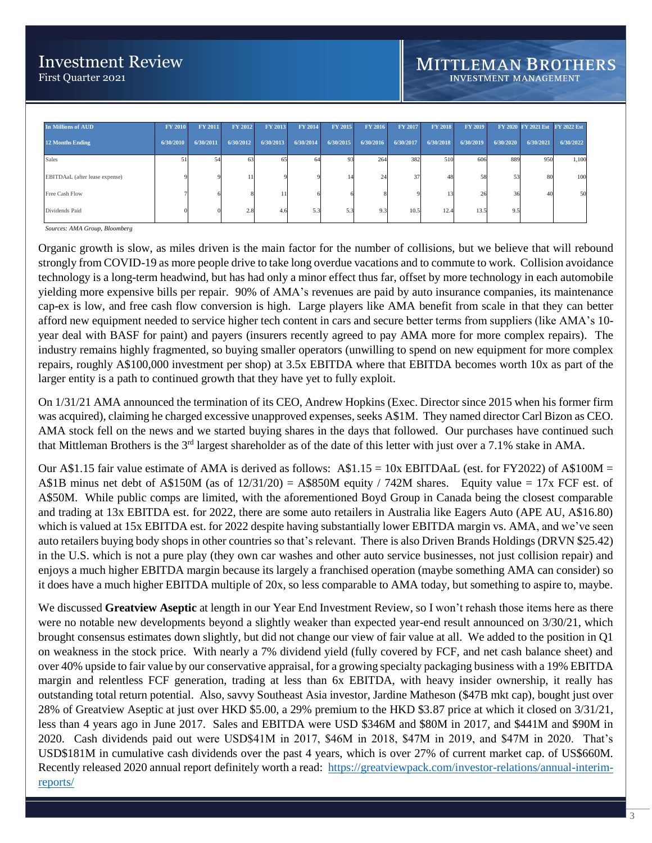| <b>In Millions of AUD</b>      | <b>FY 2010</b> | <b>FY 2011</b> | <b>FY 2012</b> | <b>FY 2013</b> | <b>FY 2014</b> | FY 2015   | <b>FY 2016</b> | <b>FY 2017</b> | <b>FY 2018</b> | FY 2019   |           |           | FY 2020 FY 2021 Est FY 2022 Est |
|--------------------------------|----------------|----------------|----------------|----------------|----------------|-----------|----------------|----------------|----------------|-----------|-----------|-----------|---------------------------------|
| <b>12 Months Ending</b>        | 6/30/2010      | 6/30/2011      | 6/30/2012      | 6/30/2013      | 6/30/2014      | 6/30/2015 | 6/30/2016      | 6/30/2017      | 6/30/2018      | 6/30/2019 | 6/30/2020 | 6/30/2021 | 6/30/2022                       |
| <b>Sales</b>                   | 51             |                | 63             | 65             | 64             | 93        | 264            | 382            | 510            | 606       | 889       | 950       | 1,100                           |
| EBITDAaL (after lease expense) |                |                |                |                |                |           | 24             | 37             | 48             | 58        |           | 80        | 100                             |
| Free Cash Flow                 |                |                |                |                |                |           |                |                | 13.            | 26        |           | 40        | 50                              |
| Dividends Paid                 |                |                | 2.8            | 4.6            | 5.3            | 5.3       | 9.3            | 10.5           | 12.4           | 13.5      | 9.5       |           |                                 |

*Sources: AMA Group, Bloomberg*

Organic growth is slow, as miles driven is the main factor for the number of collisions, but we believe that will rebound strongly from COVID-19 as more people drive to take long overdue vacations and to commute to work. Collision avoidance technology is a long-term headwind, but has had only a minor effect thus far, offset by more technology in each automobile yielding more expensive bills per repair. 90% of AMA's revenues are paid by auto insurance companies, its maintenance cap-ex is low, and free cash flow conversion is high. Large players like AMA benefit from scale in that they can better afford new equipment needed to service higher tech content in cars and secure better terms from suppliers (like AMA's 10 year deal with BASF for paint) and payers (insurers recently agreed to pay AMA more for more complex repairs). The industry remains highly fragmented, so buying smaller operators (unwilling to spend on new equipment for more complex repairs, roughly A\$100,000 investment per shop) at 3.5x EBITDA where that EBITDA becomes worth 10x as part of the larger entity is a path to continued growth that they have yet to fully exploit.

On 1/31/21 AMA announced the termination of its CEO, Andrew Hopkins (Exec. Director since 2015 when his former firm was acquired), claiming he charged excessive unapproved expenses, seeks A\$1M. They named director Carl Bizon as CEO. AMA stock fell on the news and we started buying shares in the days that followed. Our purchases have continued such that Mittleman Brothers is the  $3<sup>rd</sup>$  largest shareholder as of the date of this letter with just over a 7.1% stake in AMA.

Our A\$1.15 fair value estimate of AMA is derived as follows:  $A$1.15 = 10x$  EBITDAaL (est. for FY2022) of A\$100M = A\$1B minus net debt of A\$150M (as of  $12/31/20$ ) = A\$850M equity / 742M shares. Equity value = 17x FCF est. of A\$50M. While public comps are limited, with the aforementioned Boyd Group in Canada being the closest comparable and trading at 13x EBITDA est. for 2022, there are some auto retailers in Australia like Eagers Auto (APE AU, A\$16.80) which is valued at 15x EBITDA est. for 2022 despite having substantially lower EBITDA margin vs. AMA, and we've seen auto retailers buying body shops in other countries so that's relevant. There is also Driven Brands Holdings (DRVN \$25.42) in the U.S. which is not a pure play (they own car washes and other auto service businesses, not just collision repair) and enjoys a much higher EBITDA margin because its largely a franchised operation (maybe something AMA can consider) so it does have a much higher EBITDA multiple of 20x, so less comparable to AMA today, but something to aspire to, maybe.

We discussed Greatview Aseptic at length in our Year End Investment Review, so I won't rehash those items here as there were no notable new developments beyond a slightly weaker than expected year-end result announced on  $3/30/21$ , which brought consensus estimates down slightly, but did not change our view of fair value at all. We added to the position in Q1 on weakness in the stock price. With nearly a 7% dividend yield (fully covered by FCF, and net cash balance sheet) and over 40% upside to fair value by our conservative appraisal, for a growing specialty packaging business with a 19% EBITDA margin and relentless FCF generation, trading at less than 6x EBITDA, with heavy insider ownership, it really has outstanding total return potential. Also, savvy Southeast Asia investor, Jardine Matheson (\$47B mkt cap), bought just over 28% of Greatview Aseptic at just over HKD \$5.00, a 29% premium to the HKD \$3.87 price at which it closed on 3/31/21, less than 4 years ago in June 2017. Sales and EBITDA were USD \$346M and \$80M in 2017, and \$441M and \$90M in 2020. Cash dividends paid out were USD\$41M in 2017, \$46M in 2018, \$47M in 2019, and \$47M in 2020. That's USD\$181M in cumulative cash dividends over the past 4 years, which is over 27% of current market cap. of US\$660M. Recently released 2020 annual report definitely worth a read: [https://greatviewpack.com/investor-relations/annual-interim](https://greatviewpack.com/investor-relations/annual-interim-reports/)[reports/](https://greatviewpack.com/investor-relations/annual-interim-reports/)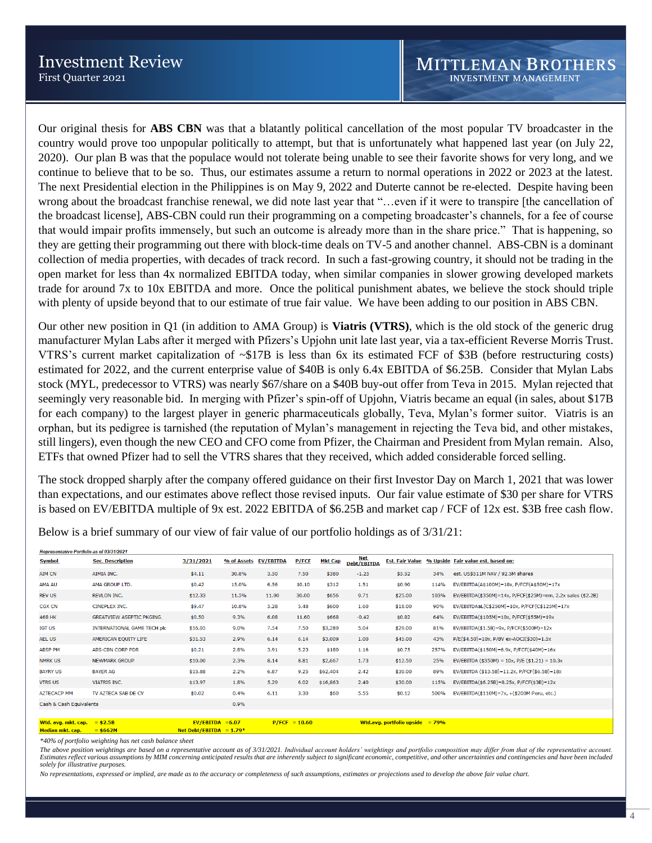Our original thesis for **ABS CBN** was that a blatantly political cancellation of the most popular TV broadcaster in the country would prove too unpopular politically to attempt, but that is unfortunately what happened last year (on July 22, 2020). Our plan B was that the populace would not tolerate being unable to see their favorite shows for very long, and we continue to believe that to be so. Thus, our estimates assume a return to normal operations in 2022 or 2023 at the latest. The next Presidential election in the Philippines is on May 9, 2022 and Duterte cannot be re-elected. Despite having been wrong about the broadcast franchise renewal, we did note last year that "…even if it were to transpire [the cancellation of the broadcast license], ABS-CBN could run their programming on a competing broadcaster's channels, for a fee of course that would impair profits immensely, but such an outcome is already more than in the share price." That is happening, so they are getting their programming out there with block-time deals on TV-5 and another channel. ABS-CBN is a dominant collection of media properties, with decades of track record. In such a fast-growing country, it should not be trading in the open market for less than 4x normalized EBITDA today, when similar companies in slower growing developed markets trade for around 7x to 10x EBITDA and more. Once the political punishment abates, we believe the stock should triple with plenty of upside beyond that to our estimate of true fair value. We have been adding to our position in ABS CBN.

Our other new position in Q1 (in addition to AMA Group) is **Viatris (VTRS)**, which is the old stock of the generic drug manufacturer Mylan Labs after it merged with Pfizers's Upjohn unit late last year, via a tax-efficient Reverse Morris Trust. VTRS's current market capitalization of ~\$17B is less than 6x its estimated FCF of \$3B (before restructuring costs) estimated for 2022, and the current enterprise value of \$40B is only 6.4x EBITDA of \$6.25B. Consider that Mylan Labs stock (MYL, predecessor to VTRS) was nearly \$67/share on a \$40B buy-out offer from Teva in 2015. Mylan rejected that seemingly very reasonable bid. In merging with Pfizer's spin-off of Upjohn, Viatris became an equal (in sales, about \$17B for each company) to the largest player in generic pharmaceuticals globally, Teva, Mylan's former suitor. Viatris is an orphan, but its pedigree is tarnished (the reputation of Mylan's management in rejecting the Teva bid, and other mistakes, still lingers), even though the new CEO and CFO come from Pfizer, the Chairman and President from Mylan remain. Also, ETFs that owned Pfizer had to sell the VTRS shares that they received, which added considerable forced selling.

The stock dropped sharply after the company offered guidance on their first Investor Day on March 1, 2021 that was lower than expectations, and our estimates above reflect those revised inputs. Our fair value estimate of \$30 per share for VTRS is based on EV/EBITDA multiple of 9x est. 2022 EBITDA of \$6.25B and market cap / FCF of 12x est. \$3B free cash flow.

| Representative Portfolio as of 03/31/2021 |                                    |                    |                       |       |                 |                |                           |                                    |      |                                                             |
|-------------------------------------------|------------------------------------|--------------------|-----------------------|-------|-----------------|----------------|---------------------------|------------------------------------|------|-------------------------------------------------------------|
| <b>Symbol</b>                             | <b>Sec. Description</b>            | 3/31/2021          | % of Assets EV/EBITDA |       | P/FCF           | <b>Mkt Cap</b> | <b>Net</b><br>Debt/EBITDA | <b>Est. Fair Value</b>             |      | % Upside Fair value est. based on:                          |
| <b>AIM CN</b>                             | AIMIA INC.                         | \$4.11             | 30.8%                 | 3.50  | 7.50            | \$380          | $-1.25$                   | \$5.52                             | 34%  | est. US\$511M NAV / 92.5M shares                            |
| AMA AU                                    | AMA GROUP LTD.                     | \$0.42             | 15.0%                 | 6.56  | 10.10           | \$312          | 1.51                      | \$0.90                             | 114% | $EV/EBITDA(A$100M)=10x$ , $P/FCF(A$50M)=17x$                |
| <b>REV US</b>                             | <b>REVLON INC.</b>                 | \$12.33            | 11.5%                 | 11.90 | 30.00           | \$656          | 9.71                      | \$25.00                            | 103% | EV/EBITDA(\$350M)=14x, P/FCF(\$25M)=nm, 2.2x sales (\$2.2B) |
| <b>CGX CN</b>                             | <b>CINEPLEX INC.</b>               | \$9.47             | 10.8%                 | 5.28  | 5.48            | \$600          | 1.60                      | \$18.00                            | 90%  | EV/EBITDAaL(C\$250M)=10x, P/FCF(C\$125M)=17x                |
| <b>468 HK</b>                             | <b>GREATVIEW ASEPTIC PKGING.</b>   | \$0.50             | 9.3%                  | 6.08  | 11.60           | \$668          | $-0.42$                   | \$0.82                             | 64%  | EV/EBITDA(\$105M)=10x, P/FCF(\$55M)=19x                     |
| <b>IGT US</b>                             | <b>INTERNATIONAL GAME TECH plc</b> | \$16.05            | 9.0%                  | 7.54  | 7.50            | \$3,289        | 5.04                      | \$29.00                            | 81%  | EV/EBITDA(\$1.5B)=9x, P/FCF(\$500M)=12x                     |
| <b>AEL US</b>                             | AMERICAN EQUITY LIFE               | \$31.53            | 2.9%                  | 6.14  | 6.14            | \$3,009        | 1.00                      | \$45.00                            | 43%  | $P/E ($4.50)=10x, P/BV ex-AOCI ($30)=1.5x$                  |
| <b>ABSP PM</b>                            | ABS-CBN CORP PDR                   | \$0.21             | 2.8%                  | 3.91  | 5.23            | \$180          | 1.16                      | \$0.75                             | 257% | EV/EBITDA(\$150M)=6.9x, P/FCF(\$40M)=16x                    |
| <b>NMRK US</b>                            | <b>NEWMARK GROUP</b>               | \$10.00            | 2.3%                  | 8.14  | 8.81            | \$2,667        | 1.73                      | \$12.50                            | 25%  | EV/EBITDA (\$350M) = $10x$ , P/E (\$1.21) = $10.3x$         |
| <b>BAYRY US</b>                           | <b>BAYER AG</b>                    | \$15.88            | 2.2%                  | 6.87  | 9.25            | \$62,404       | 2.42                      | \$30.00                            | 89%  | EV/EBITDA (\$13.5B)=11.2x, P/FCF(\$6.5B)=18x                |
| <b>VTRS US</b>                            | <b>VIATRIS INC.</b>                | \$13.97            | 1.8%                  | 5.29  | 6.02            | \$16,863       | 2.40                      | \$30.00                            | 115% | EV/EBITDA(\$6.25B)=8.25x, P/FCF(\$3B)=12x                   |
| <b>AZTECACP MM</b>                        | TV AZTECA SAB DE CV                | \$0.02             | 0.4%                  | 6.11  | 3.30            | \$60           | 5.55                      | \$0.12                             | 500% | EV/EBITDA(\$110M)=7x, +(\$200M Peru, etc.)                  |
| Cash & Cash Equivalents                   |                                    |                    | 0.9%                  |       |                 |                |                           |                                    |      |                                                             |
|                                           |                                    |                    |                       |       |                 |                |                           |                                    |      |                                                             |
| Wtd. avg. mkt. cap. $= $2.5B$             |                                    | $EV/EBITDA = 6.07$ |                       |       | $P/FCF = 10.60$ |                |                           | Wtd.avg. portfolio upside $= 79\%$ |      |                                                             |

Below is a brief summary of our view of fair value of our portfolio holdings as of 3/31/21:

Net Debt/EBITDA =  $1.79*$ 

*\*40% of portfolio weighting has net cash balance sheet*

 $= $662M$ 

Median mkt. cap.

The above position weightings are based on a representative account as of 3/31/2021. Individual account holders' weightings and portfolio composition may differ from that of the representative account *Estimates reflect various assumptions by MIM concerning anticipated results that are inherently subject to significant economic, competitive, and other uncertainties and contingencies and have been included solely for illustrative purposes.* 

*No representations, expressed or implied, are made as to the accuracy or completeness of such assumptions, estimates or projections used to develop the above fair value chart.*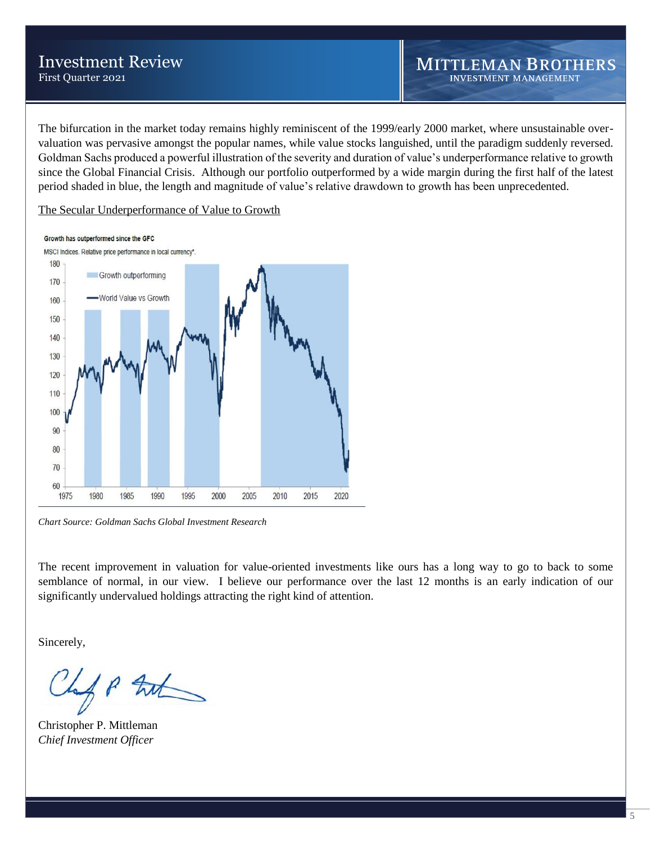# Investment Review First Quarter 2021

The bifurcation in the market today remains highly reminiscent of the 1999/early 2000 market, where unsustainable overvaluation was pervasive amongst the popular names, while value stocks languished, until the paradigm suddenly reversed. Goldman Sachs produced a powerful illustration of the severity and duration of value's underperformance relative to growth since the Global Financial Crisis. Although our portfolio outperformed by a wide margin during the first half of the latest period shaded in blue, the length and magnitude of value's relative drawdown to growth has been unprecedented.

The Secular Underperformance of Value to Growth

#### Growth has outperformed since the GFC



*Chart Source: Goldman Sachs Global Investment Research*

The recent improvement in valuation for value-oriented investments like ours has a long way to go to back to some semblance of normal, in our view. I believe our performance over the last 12 months is an early indication of our significantly undervalued holdings attracting the right kind of attention.

Sincerely,

f P tak

Christopher P. Mittleman *Chief Investment Officer*